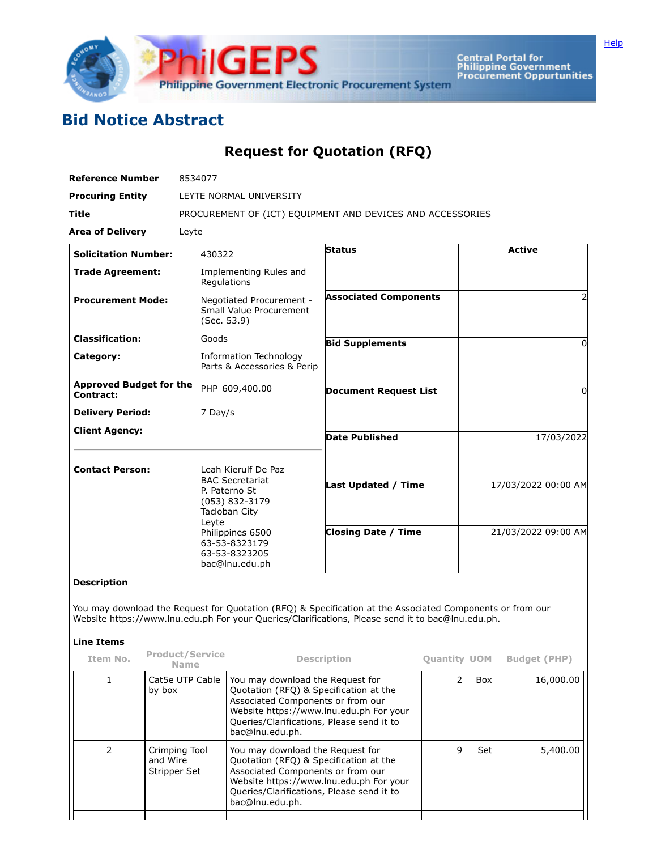

Central Portal for<br>Philippine Government<br>Procurement Oppurtunities

## **Bid Notice Abstract**

## **Request for Quotation (RFQ)**

| <b>Reference Number</b>                     | 8534077                                   |                                                                                                                                                                                      |                                                                                                                                                                                                                            |                                                                                                                                                                                                                |                     |                     |                     |  |
|---------------------------------------------|-------------------------------------------|--------------------------------------------------------------------------------------------------------------------------------------------------------------------------------------|----------------------------------------------------------------------------------------------------------------------------------------------------------------------------------------------------------------------------|----------------------------------------------------------------------------------------------------------------------------------------------------------------------------------------------------------------|---------------------|---------------------|---------------------|--|
| <b>Procuring Entity</b>                     |                                           | LEYTE NORMAL UNIVERSITY                                                                                                                                                              |                                                                                                                                                                                                                            |                                                                                                                                                                                                                |                     |                     |                     |  |
| Title                                       |                                           | PROCUREMENT OF (ICT) EQUIPMENT AND DEVICES AND ACCESSORIES                                                                                                                           |                                                                                                                                                                                                                            |                                                                                                                                                                                                                |                     |                     |                     |  |
| <b>Area of Delivery</b>                     | Leyte                                     |                                                                                                                                                                                      |                                                                                                                                                                                                                            |                                                                                                                                                                                                                |                     |                     |                     |  |
| <b>Solicitation Number:</b>                 |                                           | 430322                                                                                                                                                                               |                                                                                                                                                                                                                            | <b>Status</b>                                                                                                                                                                                                  |                     |                     | <b>Active</b>       |  |
| <b>Trade Agreement:</b>                     |                                           | Regulations                                                                                                                                                                          | Implementing Rules and                                                                                                                                                                                                     |                                                                                                                                                                                                                |                     |                     |                     |  |
| <b>Procurement Mode:</b>                    |                                           | Negotiated Procurement -<br>Small Value Procurement<br>(Sec. 53.9)                                                                                                                   |                                                                                                                                                                                                                            | <b>Associated Components</b>                                                                                                                                                                                   |                     | 2                   |                     |  |
| <b>Classification:</b>                      |                                           | Goods                                                                                                                                                                                |                                                                                                                                                                                                                            | <b>Bid Supplements</b>                                                                                                                                                                                         |                     |                     | 0                   |  |
| Category:                                   |                                           |                                                                                                                                                                                      | <b>Information Technology</b><br>Parts & Accessories & Perip                                                                                                                                                               |                                                                                                                                                                                                                |                     |                     |                     |  |
| <b>Approved Budget for the</b><br>Contract: |                                           |                                                                                                                                                                                      | PHP 609,400.00                                                                                                                                                                                                             | <b>Document Request List</b>                                                                                                                                                                                   |                     | 0                   |                     |  |
| <b>Delivery Period:</b>                     |                                           | 7 Day/s                                                                                                                                                                              |                                                                                                                                                                                                                            |                                                                                                                                                                                                                |                     |                     |                     |  |
| <b>Client Agency:</b>                       |                                           |                                                                                                                                                                                      |                                                                                                                                                                                                                            | <b>Date Published</b>                                                                                                                                                                                          |                     | 17/03/2022          |                     |  |
|                                             |                                           |                                                                                                                                                                                      |                                                                                                                                                                                                                            |                                                                                                                                                                                                                |                     |                     |                     |  |
| <b>Contact Person:</b>                      |                                           | Leah Kierulf De Paz<br><b>BAC Secretariat</b><br>P. Paterno St<br>$(053)$ 832-3179<br>Tacloban City<br>Leyte<br>Philippines 6500<br>63-53-8323179<br>63-53-8323205<br>bac@lnu.edu.ph |                                                                                                                                                                                                                            | Last Updated / Time                                                                                                                                                                                            |                     | 17/03/2022 00:00 AM |                     |  |
|                                             |                                           |                                                                                                                                                                                      |                                                                                                                                                                                                                            | <b>Closing Date / Time</b>                                                                                                                                                                                     |                     | 21/03/2022 09:00 AM |                     |  |
| <b>Description</b>                          |                                           |                                                                                                                                                                                      |                                                                                                                                                                                                                            |                                                                                                                                                                                                                |                     |                     |                     |  |
| <b>Line Items</b>                           |                                           |                                                                                                                                                                                      |                                                                                                                                                                                                                            | You may download the Request for Quotation (RFQ) & Specification at the Associated Components or from our<br>Website https://www.lnu.edu.ph For your Queries/Clarifications, Please send it to bac@lnu.edu.ph. |                     |                     |                     |  |
| Item No.                                    | <b>Product/Service</b>                    |                                                                                                                                                                                      |                                                                                                                                                                                                                            | <b>Description</b>                                                                                                                                                                                             | <b>Quantity UOM</b> |                     | <b>Budget (PHP)</b> |  |
| 1                                           | <b>Name</b><br>Cat5e UTP Cable<br>by box  |                                                                                                                                                                                      | You may download the Request for<br>Quotation (RFQ) & Specification at the<br>Associated Components or from our<br>Website https://www.lnu.edu.ph For your<br>Queries/Clarifications, Please send it to<br>bac@lnu.edu.ph. |                                                                                                                                                                                                                | $\overline{2}$      | Box                 | 16,000.00           |  |
| 2                                           | Crimping Tool<br>and Wire<br>Stripper Set |                                                                                                                                                                                      | You may download the Request for<br>Quotation (RFQ) & Specification at the<br>Associated Components or from our<br>Website https://www.lnu.edu.ph For your<br>Queries/Clarifications, Please send it to<br>bac@lnu.edu.ph. |                                                                                                                                                                                                                | 9                   | Set                 | 5,400.00            |  |
|                                             |                                           |                                                                                                                                                                                      |                                                                                                                                                                                                                            |                                                                                                                                                                                                                |                     |                     |                     |  |